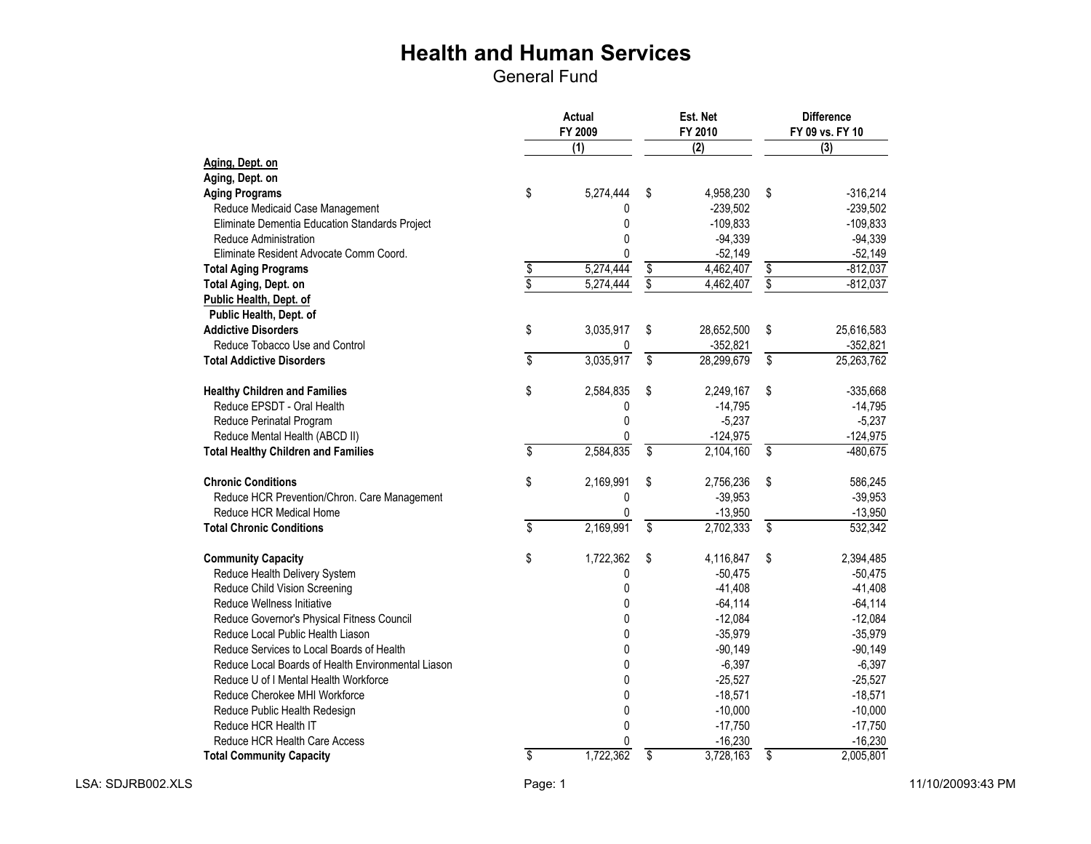|                                                    | <b>Actual</b><br>FY 2009 |              |                          | Est. Net<br>FY 2010 |                                      | <b>Difference</b><br>FY 09 vs. FY 10 |
|----------------------------------------------------|--------------------------|--------------|--------------------------|---------------------|--------------------------------------|--------------------------------------|
|                                                    |                          | (1)          |                          | (2)                 |                                      | (3)                                  |
| Aging, Dept. on                                    |                          |              |                          |                     |                                      |                                      |
| Aging, Dept. on                                    |                          |              |                          |                     |                                      |                                      |
| <b>Aging Programs</b>                              | \$                       | 5,274,444    | \$                       | 4,958,230           | \$                                   | $-316,214$                           |
| Reduce Medicaid Case Management                    |                          | 0            |                          | $-239,502$          |                                      | $-239,502$                           |
| Eliminate Dementia Education Standards Project     |                          | 0            |                          | $-109,833$          |                                      | $-109,833$                           |
| Reduce Administration                              |                          | 0            |                          | $-94,339$           |                                      | $-94,339$                            |
| Eliminate Resident Advocate Comm Coord.            |                          | 0            |                          | $-52,149$           |                                      | $-52,149$                            |
| <b>Total Aging Programs</b>                        | $\frac{3}{3}$            | 5,274,444    | \$                       | 4,462,407           | \$                                   | $-812,037$                           |
| Total Aging, Dept. on                              |                          | 5,274,444    | \$                       | 4,462,407           | $\overline{\boldsymbol{\mathsf{S}}}$ | $-812,037$                           |
| Public Health, Dept. of                            |                          |              |                          |                     |                                      |                                      |
| Public Health, Dept. of                            |                          |              |                          |                     |                                      |                                      |
| <b>Addictive Disorders</b>                         | \$                       | 3,035,917    | \$                       | 28,652,500          | \$                                   | 25,616,583                           |
| Reduce Tobacco Use and Control                     |                          |              |                          | $-352,821$          |                                      | $-352,821$                           |
| <b>Total Addictive Disorders</b>                   | $\overline{\$}$          | 3,035,917    | $\overline{\$}$          | 28,299,679          | \$                                   | 25,263,762                           |
| <b>Healthy Children and Families</b>               | \$                       | 2,584,835    | \$                       | 2,249,167           | \$                                   | $-335,668$                           |
| Reduce EPSDT - Oral Health                         |                          | 0            |                          | $-14,795$           |                                      | $-14,795$                            |
| Reduce Perinatal Program                           |                          | 0            |                          | $-5,237$            |                                      | $-5,237$                             |
| Reduce Mental Health (ABCD II)                     |                          | 0            |                          | $-124,975$          |                                      | $-124,975$                           |
| <b>Total Healthy Children and Families</b>         | \$                       | 2,584,835    | \$                       | 2,104,160           | \$                                   | $-480,675$                           |
| <b>Chronic Conditions</b>                          | \$                       | 2,169,991    | \$                       | 2,756,236           | \$                                   | 586,245                              |
| Reduce HCR Prevention/Chron. Care Management       |                          | 0            |                          | $-39,953$           |                                      | $-39,953$                            |
| Reduce HCR Medical Home                            |                          | 0            |                          | $-13,950$           |                                      | $-13,950$                            |
| <b>Total Chronic Conditions</b>                    | \$                       | 2,169,991    | $\overline{\mathcal{S}}$ | 2,702,333           | $\overline{\mathsf{s}}$              | 532,342                              |
| <b>Community Capacity</b>                          | \$                       | 1,722,362    | \$                       | 4,116,847           | \$                                   | 2,394,485                            |
| Reduce Health Delivery System                      |                          | 0            |                          | $-50,475$           |                                      | $-50,475$                            |
| Reduce Child Vision Screening                      |                          | 0            |                          | $-41,408$           |                                      | $-41,408$                            |
| Reduce Wellness Initiative                         |                          | 0            |                          | $-64,114$           |                                      | $-64, 114$                           |
| Reduce Governor's Physical Fitness Council         |                          | $\mathbf{0}$ |                          | $-12,084$           |                                      | $-12,084$                            |
| Reduce Local Public Health Liason                  |                          | 0            |                          | $-35,979$           |                                      | $-35,979$                            |
| Reduce Services to Local Boards of Health          |                          | $\mathbf{0}$ |                          | $-90,149$           |                                      | $-90,149$                            |
| Reduce Local Boards of Health Environmental Liason |                          | 0            |                          | $-6,397$            |                                      | $-6,397$                             |
| Reduce U of I Mental Health Workforce              |                          | $\mathbf{0}$ |                          | $-25,527$           |                                      | $-25,527$                            |
| Reduce Cherokee MHI Workforce                      |                          | 0            |                          | $-18,571$           |                                      | $-18,571$                            |
| Reduce Public Health Redesign                      |                          | 0            |                          | $-10,000$           |                                      | $-10,000$                            |
| Reduce HCR Health IT                               |                          | $\mathbf{0}$ |                          | $-17,750$           |                                      | $-17,750$                            |
| Reduce HCR Health Care Access                      |                          | 0            |                          | $-16,230$           |                                      | $-16,230$                            |
| <b>Total Community Capacity</b>                    | $\overline{\$}$          | 1,722,362    | $\overline{\$}$          | 3,728,163           | $\overline{\$}$                      | 2,005,801                            |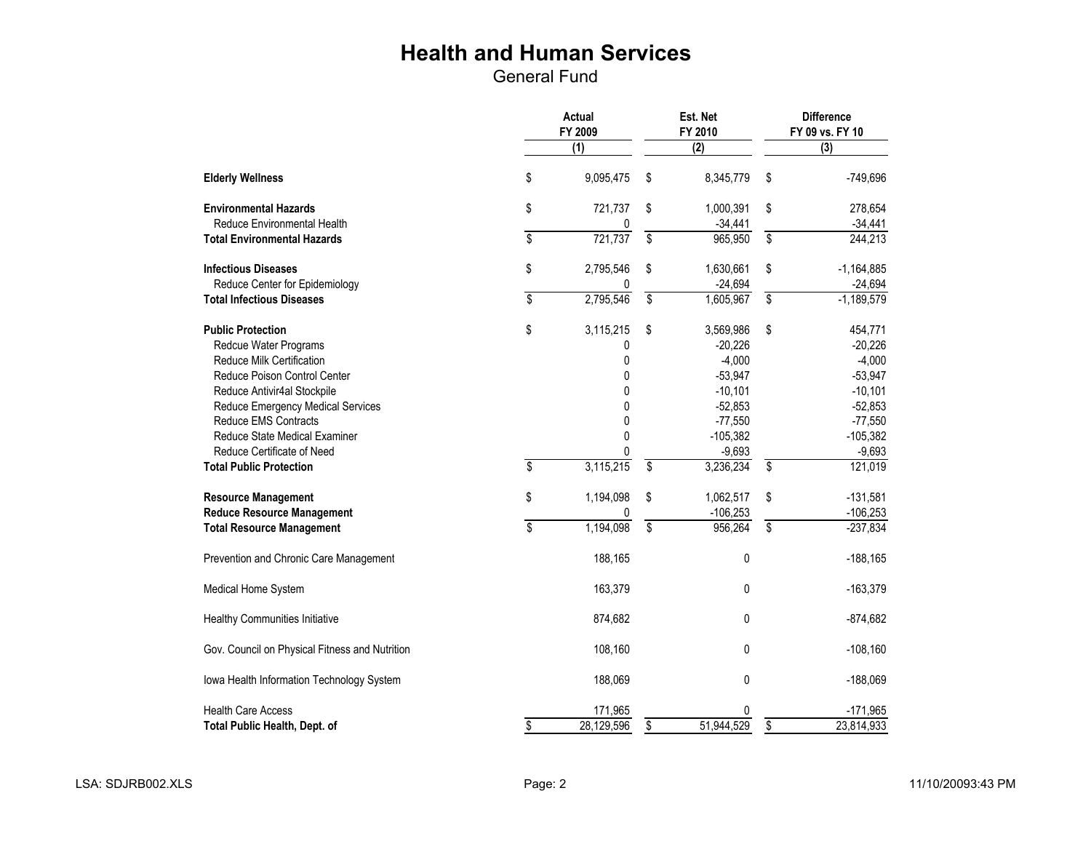|                                                                                                                       |                         | Actual<br>Est. Net<br>FY 2009<br>FY 2010 |                 |                                                 | <b>Difference</b><br>FY 09 vs. FY 10 |                                               |  |
|-----------------------------------------------------------------------------------------------------------------------|-------------------------|------------------------------------------|-----------------|-------------------------------------------------|--------------------------------------|-----------------------------------------------|--|
|                                                                                                                       |                         | (1)                                      |                 | (2)                                             |                                      | (3)                                           |  |
| <b>Elderly Wellness</b>                                                                                               | \$                      | 9,095,475                                | \$              | 8,345,779                                       | \$                                   | $-749,696$                                    |  |
| <b>Environmental Hazards</b>                                                                                          | \$                      | 721,737                                  | \$              | 1,000,391                                       | \$                                   | 278,654                                       |  |
| <b>Reduce Environmental Health</b>                                                                                    |                         |                                          |                 | $-34,441$                                       |                                      | $-34,441$                                     |  |
| <b>Total Environmental Hazards</b>                                                                                    | $\overline{\mathbf{S}}$ | 721,737                                  | \$              | 965,950                                         | \$                                   | 244,213                                       |  |
| <b>Infectious Diseases</b><br>Reduce Center for Epidemiology                                                          | \$                      | 2,795,546                                | \$              | 1,630,661<br>$-24,694$                          | \$                                   | $-1,164,885$<br>$-24,694$                     |  |
| <b>Total Infectious Diseases</b>                                                                                      | \$                      | 2,795,546                                | \$              | 1,605,967                                       | $\overline{\mathcal{S}}$             | $-1,189,579$                                  |  |
| <b>Public Protection</b><br>Redcue Water Programs<br><b>Reduce Milk Certification</b><br>Reduce Poison Control Center | \$                      | 3,115,215<br>0<br>0<br>0                 | \$              | 3,569,986<br>$-20,226$<br>$-4,000$<br>$-53,947$ | \$                                   | 454,771<br>$-20,226$<br>$-4,000$<br>$-53,947$ |  |
| Reduce Antivir4al Stockpile                                                                                           |                         | 0                                        |                 | $-10,101$                                       |                                      | $-10,101$                                     |  |
| Reduce Emergency Medical Services                                                                                     |                         | 0                                        |                 | $-52,853$                                       |                                      | $-52,853$                                     |  |
| Reduce EMS Contracts                                                                                                  |                         | 0                                        |                 | $-77,550$                                       |                                      | $-77,550$                                     |  |
| Reduce State Medical Examiner                                                                                         |                         | 0                                        |                 | $-105,382$                                      |                                      | $-105,382$                                    |  |
| Reduce Certificate of Need                                                                                            |                         | 0                                        |                 | $-9,693$                                        |                                      | $-9,693$                                      |  |
| <b>Total Public Protection</b>                                                                                        | \$                      | 3,115,215                                | $\overline{\$}$ | 3,236,234                                       | $\overline{\$}$                      | 121,019                                       |  |
| <b>Resource Management</b><br><b>Reduce Resource Management</b>                                                       | \$                      | 1,194,098<br>0                           | \$              | 1,062,517<br>$-106,253$                         | \$                                   | $-131,581$<br>$-106,253$                      |  |
| <b>Total Resource Management</b>                                                                                      | $\overline{\$}$         | 1,194,098                                | $\overline{\$}$ | 956,264                                         | $\overline{\mathsf{s}}$              | $-237,834$                                    |  |
| Prevention and Chronic Care Management                                                                                |                         | 188,165                                  |                 | 0                                               |                                      | $-188,165$                                    |  |
| Medical Home System                                                                                                   |                         | 163,379                                  |                 | 0                                               |                                      | $-163,379$                                    |  |
| <b>Healthy Communities Initiative</b>                                                                                 |                         | 874,682                                  |                 | 0                                               |                                      | $-874,682$                                    |  |
| Gov. Council on Physical Fitness and Nutrition                                                                        |                         | 108,160                                  |                 | 0                                               |                                      | $-108,160$                                    |  |
| Iowa Health Information Technology System                                                                             |                         | 188,069                                  |                 | 0                                               |                                      | $-188,069$                                    |  |
| <b>Health Care Access</b>                                                                                             |                         | 171,965                                  |                 | 0                                               |                                      | $-171,965$                                    |  |
| <b>Total Public Health, Dept. of</b>                                                                                  | \$                      | 28,129,596                               | \$              | 51,944,529                                      | \$                                   | 23,814,933                                    |  |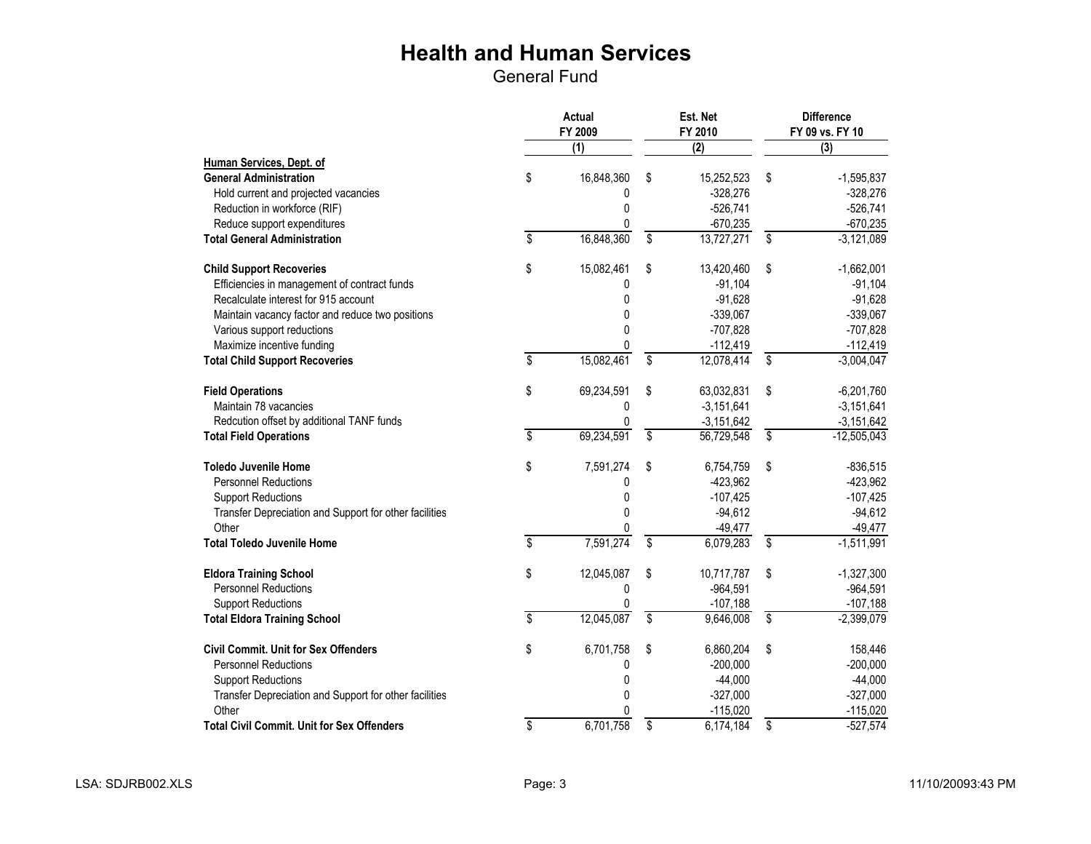|                                                        |                          | Actual<br>FY 2009 |                         | Est. Net<br>FY 2010 | <b>Difference</b><br>FY 09 vs. FY 10 |               |
|--------------------------------------------------------|--------------------------|-------------------|-------------------------|---------------------|--------------------------------------|---------------|
|                                                        |                          | (1)               |                         | (2)                 |                                      | (3)           |
| Human Services, Dept. of                               |                          |                   |                         |                     |                                      |               |
| <b>General Administration</b>                          | \$                       | 16,848,360        | \$                      | 15,252,523          | \$                                   | $-1,595,837$  |
| Hold current and projected vacancies                   |                          | 0                 |                         | $-328,276$          |                                      | $-328,276$    |
| Reduction in workforce (RIF)                           |                          | 0                 |                         | $-526,741$          |                                      | $-526,741$    |
| Reduce support expenditures                            |                          | 0                 |                         | $-670,235$          |                                      | $-670,235$    |
| <b>Total General Administration</b>                    | \$                       | 16,848,360        | \$                      | 13,727,271          | $\overline{\$}$                      | $-3,121,089$  |
| <b>Child Support Recoveries</b>                        | \$                       | 15,082,461        | \$                      | 13,420,460          | \$                                   | $-1,662,001$  |
| Efficiencies in management of contract funds           |                          | 0                 |                         | $-91,104$           |                                      | $-91,104$     |
| Recalculate interest for 915 account                   |                          | 0                 |                         | $-91,628$           |                                      | $-91,628$     |
| Maintain vacancy factor and reduce two positions       |                          | 0                 |                         | $-339,067$          |                                      | $-339,067$    |
| Various support reductions                             |                          | $\mathbf{0}$      |                         | $-707,828$          |                                      | $-707,828$    |
| Maximize incentive funding                             |                          | 0                 |                         | $-112,419$          |                                      | $-112,419$    |
| <b>Total Child Support Recoveries</b>                  | \$                       | 15,082,461        | \$                      | 12,078,414          | $\overline{\$}$                      | $-3,004,047$  |
| <b>Field Operations</b>                                | \$                       | 69,234,591        | \$                      | 63,032,831          | \$                                   | $-6,201,760$  |
| Maintain 78 vacancies                                  |                          | 0                 |                         | $-3,151,641$        |                                      | $-3,151,641$  |
| Redcution offset by additional TANF funds              |                          | 0                 |                         | $-3,151,642$        |                                      | $-3,151,642$  |
| <b>Total Field Operations</b>                          | \$                       | 69,234,591        | \$                      | 56,729,548          | \$                                   | $-12,505,043$ |
| <b>Toledo Juvenile Home</b>                            | \$                       | 7,591,274         | \$                      | 6,754,759           | \$                                   | $-836,515$    |
| <b>Personnel Reductions</b>                            |                          | 0                 |                         | $-423,962$          |                                      | $-423,962$    |
| <b>Support Reductions</b>                              |                          | 0                 |                         | $-107,425$          |                                      | $-107,425$    |
| Transfer Depreciation and Support for other facilities |                          | 0                 |                         | $-94,612$           |                                      | $-94,612$     |
| Other                                                  |                          |                   |                         | $-49,477$           |                                      | $-49,477$     |
| <b>Total Toledo Juvenile Home</b>                      | $\overline{\mathcal{S}}$ | 7,591,274         | $\overline{\mathbf{S}}$ | 6,079,283           | $\overline{\mathcal{S}}$             | $-1,511,991$  |
| <b>Eldora Training School</b>                          | \$                       | 12,045,087        | \$                      | 10,717,787          | \$                                   | $-1,327,300$  |
| <b>Personnel Reductions</b>                            |                          | 0                 |                         | $-964,591$          |                                      | $-964,591$    |
| <b>Support Reductions</b>                              |                          |                   |                         | $-107,188$          |                                      | $-107,188$    |
| <b>Total Eldora Training School</b>                    | \$                       | 12,045,087        | \$                      | 9,646,008           | \$                                   | $-2,399,079$  |
| <b>Civil Commit. Unit for Sex Offenders</b>            | \$                       | 6,701,758         | \$                      | 6,860,204           | \$                                   | 158,446       |
| <b>Personnel Reductions</b>                            |                          | 0                 |                         | $-200,000$          |                                      | $-200,000$    |
| <b>Support Reductions</b>                              |                          | 0                 |                         | $-44,000$           |                                      | $-44,000$     |
| Transfer Depreciation and Support for other facilities |                          | 0                 |                         | $-327,000$          |                                      | $-327,000$    |
| Other                                                  |                          | 0                 |                         | $-115,020$          |                                      | $-115,020$    |
| <b>Total Civil Commit. Unit for Sex Offenders</b>      | $\overline{\$}$          | 6,701,758         | \$                      | 6,174,184           | \$                                   | $-527,574$    |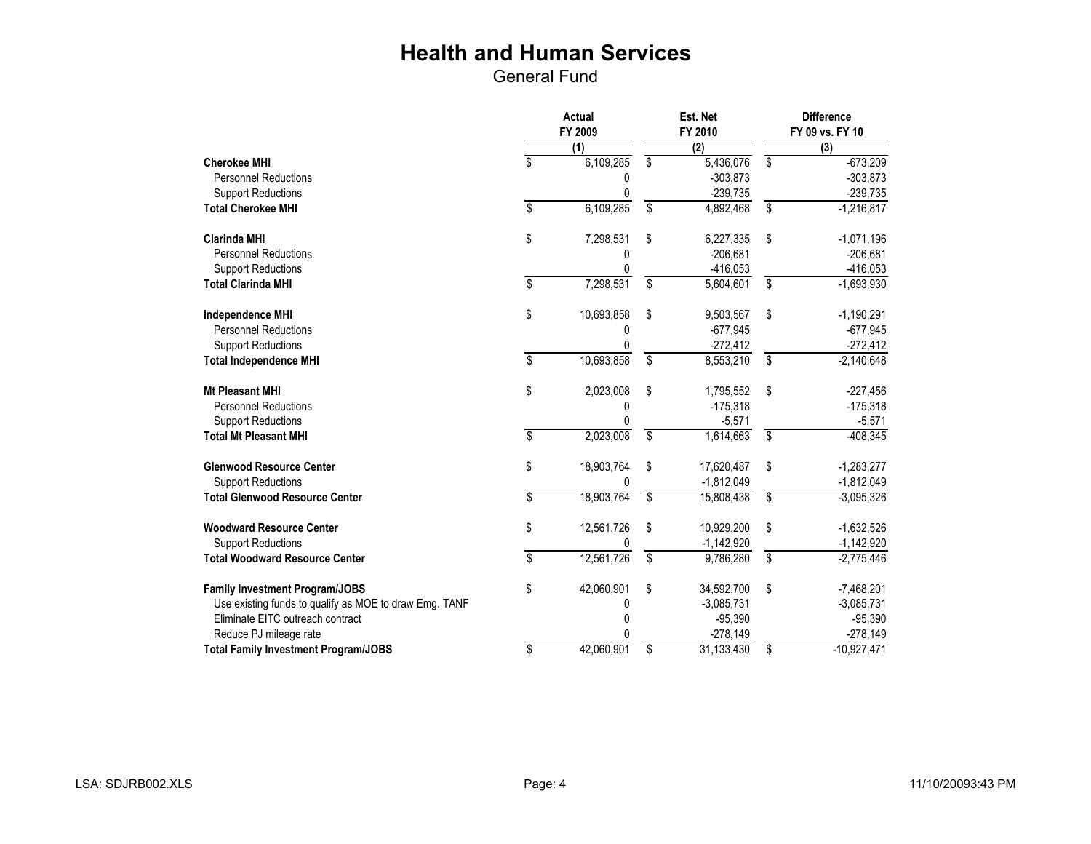|                                                        | Actual<br>FY 2009       |            | Est. Net<br>FY 2010     |                | <b>Difference</b><br>FY 09 vs. FY 10 |               |
|--------------------------------------------------------|-------------------------|------------|-------------------------|----------------|--------------------------------------|---------------|
|                                                        |                         | (1)        |                         | $\overline{2}$ |                                      | (3)           |
| <b>Cherokee MHI</b>                                    | \$                      | 6,109,285  | \$                      | 5,436,076      | \$                                   | $-673,209$    |
| <b>Personnel Reductions</b>                            |                         | 0          |                         | $-303,873$     |                                      | $-303,873$    |
| <b>Support Reductions</b>                              |                         | $\Omega$   |                         | $-239,735$     |                                      | $-239,735$    |
| <b>Total Cherokee MHI</b>                              | \$                      | 6,109,285  | \$                      | 4,892,468      | $\overline{\mathbf{S}}$              | $-1,216,817$  |
| <b>Clarinda MHI</b>                                    | \$                      | 7,298,531  | \$                      | 6,227,335      | \$                                   | $-1,071,196$  |
| <b>Personnel Reductions</b>                            |                         | 0          |                         | $-206,681$     |                                      | $-206,681$    |
| <b>Support Reductions</b>                              |                         |            |                         | $-416,053$     |                                      | $-416,053$    |
| <b>Total Clarinda MHI</b>                              | \$                      | 7,298,531  | \$                      | 5,604,601      | \$                                   | $-1,693,930$  |
| <b>Independence MHI</b>                                | \$                      | 10,693,858 | \$                      | 9,503,567      | \$                                   | $-1,190,291$  |
| <b>Personnel Reductions</b>                            |                         | 0          |                         | $-677,945$     |                                      | $-677,945$    |
| <b>Support Reductions</b>                              |                         | 0          |                         | $-272,412$     |                                      | $-272,412$    |
| <b>Total Independence MHI</b>                          | \$                      | 10,693,858 | \$                      | 8,553,210      | \$                                   | $-2,140,648$  |
| <b>Mt Pleasant MHI</b>                                 | \$                      | 2,023,008  | \$                      | 1,795,552      | \$                                   | $-227,456$    |
| <b>Personnel Reductions</b>                            |                         | 0          |                         | $-175,318$     |                                      | $-175,318$    |
| <b>Support Reductions</b>                              |                         | 0          |                         | $-5,571$       |                                      | $-5,571$      |
| <b>Total Mt Pleasant MHI</b>                           | \$                      | 2,023,008  | \$                      | 1,614,663      | $\overline{\mathsf{s}}$              | $-408,345$    |
| <b>Glenwood Resource Center</b>                        | \$                      | 18,903,764 | \$                      | 17,620,487     | \$                                   | $-1,283,277$  |
| <b>Support Reductions</b>                              |                         |            |                         | $-1,812,049$   |                                      | $-1,812,049$  |
| <b>Total Glenwood Resource Center</b>                  | \$                      | 18,903,764 | \$                      | 15,808,438     | \$                                   | $-3,095,326$  |
| <b>Woodward Resource Center</b>                        | \$                      | 12,561,726 | \$                      | 10,929,200     | \$                                   | $-1,632,526$  |
| <b>Support Reductions</b>                              |                         |            |                         | $-1,142,920$   |                                      | $-1,142,920$  |
| <b>Total Woodward Resource Center</b>                  | $\overline{\mathbb{S}}$ | 12,561,726 | $\overline{\mathsf{s}}$ | 9,786,280      | \$                                   | $-2,775,446$  |
| <b>Family Investment Program/JOBS</b>                  | \$                      | 42,060,901 | \$                      | 34,592,700     | \$                                   | $-7,468,201$  |
| Use existing funds to qualify as MOE to draw Emg. TANF |                         | 0          |                         | $-3,085,731$   |                                      | $-3,085,731$  |
| Eliminate EITC outreach contract                       |                         | 0          |                         | $-95,390$      |                                      | $-95,390$     |
| Reduce PJ mileage rate                                 |                         | ⋂          |                         | $-278,149$     |                                      | $-278,149$    |
| <b>Total Family Investment Program/JOBS</b>            | \$                      | 42,060,901 | \$                      | 31,133,430     | \$                                   | $-10,927,471$ |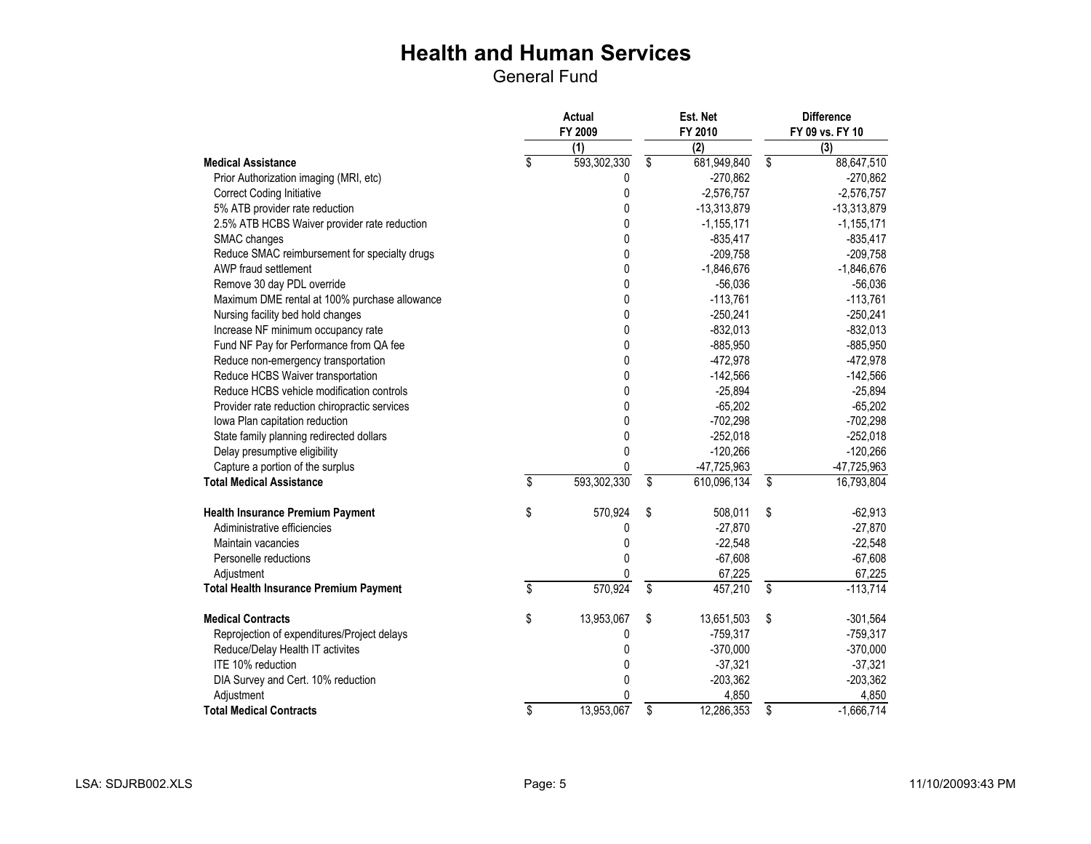|                                               | Actual<br>FY 2009 |              |                         | Est. Net<br>FY 2010 |                          | <b>Difference</b><br>FY 09 vs. FY 10 |
|-----------------------------------------------|-------------------|--------------|-------------------------|---------------------|--------------------------|--------------------------------------|
|                                               |                   | (1)          |                         | (2)                 |                          | (3)                                  |
| <b>Medical Assistance</b>                     | \$                | 593,302,330  | \$                      | 681,949,840         | \$                       | 88,647,510                           |
| Prior Authorization imaging (MRI, etc)        |                   | 0            |                         | $-270,862$          |                          | $-270,862$                           |
| <b>Correct Coding Initiative</b>              |                   | 0            |                         | $-2,576,757$        |                          | $-2,576,757$                         |
| 5% ATB provider rate reduction                |                   | 0            |                         | $-13,313,879$       |                          | $-13,313,879$                        |
| 2.5% ATB HCBS Waiver provider rate reduction  |                   | 0            |                         | $-1, 155, 171$      |                          | $-1, 155, 171$                       |
| SMAC changes                                  |                   | $\mathbf{0}$ |                         | $-835,417$          |                          | $-835,417$                           |
| Reduce SMAC reimbursement for specialty drugs |                   | 0            |                         | $-209,758$          |                          | $-209,758$                           |
| AWP fraud settlement                          |                   | $\mathbf{0}$ |                         | $-1,846,676$        |                          | $-1,846,676$                         |
| Remove 30 day PDL override                    |                   | 0            |                         | $-56,036$           |                          | $-56,036$                            |
| Maximum DME rental at 100% purchase allowance |                   | 0            |                         | $-113,761$          |                          | $-113,761$                           |
| Nursing facility bed hold changes             |                   | 0            |                         | $-250,241$          |                          | $-250,241$                           |
| Increase NF minimum occupancy rate            |                   | 0            |                         | $-832,013$          |                          | $-832,013$                           |
| Fund NF Pay for Performance from QA fee       |                   | 0            |                         | $-885,950$          |                          | $-885,950$                           |
| Reduce non-emergency transportation           |                   | 0            |                         | $-472,978$          |                          | $-472,978$                           |
| Reduce HCBS Waiver transportation             |                   | 0            |                         | $-142,566$          |                          | $-142,566$                           |
| Reduce HCBS vehicle modification controls     |                   | 0            |                         | $-25,894$           |                          | $-25,894$                            |
| Provider rate reduction chiropractic services |                   | 0            |                         | $-65,202$           |                          | $-65,202$                            |
| Iowa Plan capitation reduction                |                   | 0            |                         | $-702,298$          |                          | $-702,298$                           |
| State family planning redirected dollars      |                   | 0            |                         | $-252,018$          |                          | $-252,018$                           |
| Delay presumptive eligibility                 |                   | 0            |                         | $-120,266$          |                          | $-120,266$                           |
| Capture a portion of the surplus              |                   | 0            |                         | -47,725,963         |                          | -47,725,963                          |
| <b>Total Medical Assistance</b>               | \$                | 593,302,330  | \$                      | 610,096,134         | \$                       | 16,793,804                           |
| <b>Health Insurance Premium Payment</b>       | \$                | 570,924      | \$                      | 508,011             | \$                       | $-62,913$                            |
| Adiministrative efficiencies                  |                   | 0            |                         | $-27,870$           |                          | $-27,870$                            |
| Maintain vacancies                            |                   | 0            |                         | $-22,548$           |                          | $-22,548$                            |
| Personelle reductions                         |                   | $\mathbf{0}$ |                         | $-67,608$           |                          | $-67,608$                            |
| Adjustment                                    |                   | 0            |                         | 67,225              |                          | 67,225                               |
| <b>Total Health Insurance Premium Payment</b> | \$                | 570,924      | $\overline{\mathbf{s}}$ | 457,210             | \$                       | $-113,714$                           |
| <b>Medical Contracts</b>                      | \$                | 13,953,067   | \$                      | 13,651,503          | \$                       | $-301,564$                           |
| Reprojection of expenditures/Project delays   |                   | 0            |                         | $-759,317$          |                          | $-759,317$                           |
| Reduce/Delay Health IT activites              |                   | $\Omega$     |                         | $-370,000$          |                          | $-370,000$                           |
| ITE 10% reduction                             |                   | 0            |                         | $-37,321$           |                          | $-37,321$                            |
| DIA Survey and Cert. 10% reduction            |                   | 0            |                         | $-203,362$          |                          | $-203,362$                           |
| Adjustment                                    |                   | 0            |                         | 4,850               |                          | 4,850                                |
| <b>Total Medical Contracts</b>                | \$                | 13,953,067   | $\overline{\$}$         | 12,286,353          | $\overline{\mathcal{S}}$ | $-1,666,714$                         |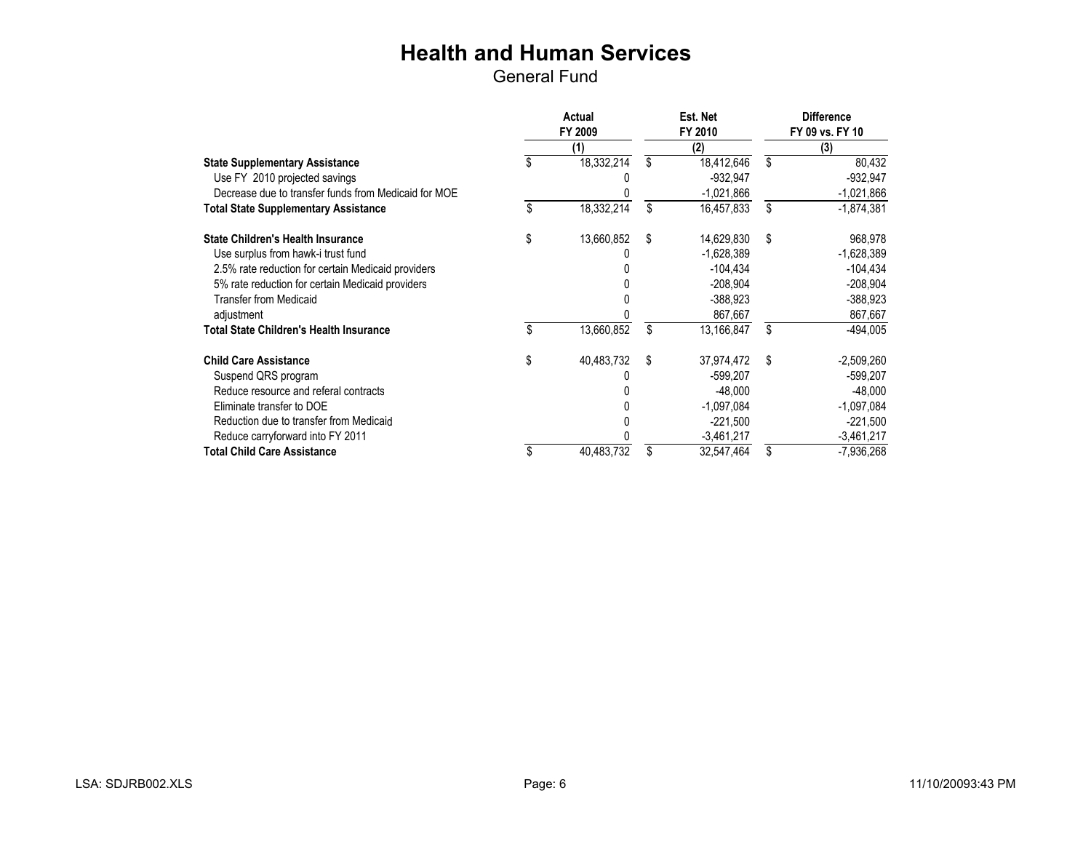|                                                      | <b>Actual</b><br>FY 2009 | Est. Net<br>FY 2010 | <b>Difference</b><br>FY 09 vs. FY 10 |              |  |
|------------------------------------------------------|--------------------------|---------------------|--------------------------------------|--------------|--|
|                                                      | (1)                      | (2)                 |                                      | (3)          |  |
| <b>State Supplementary Assistance</b>                | \$<br>18,332,214         | \$<br>18,412,646    | \$                                   | 80,432       |  |
| Use FY 2010 projected savings                        |                          | $-932.947$          |                                      | $-932,947$   |  |
| Decrease due to transfer funds from Medicaid for MOE |                          | $-1,021,866$        |                                      | $-1,021,866$ |  |
| <b>Total State Supplementary Assistance</b>          | \$<br>18,332,214         | \$<br>16,457,833    | \$                                   | $-1,874,381$ |  |
| <b>State Children's Health Insurance</b>             | \$<br>13,660,852         | \$<br>14,629,830    | \$                                   | 968,978      |  |
| Use surplus from hawk-i trust fund                   |                          | -1,628,389          |                                      | $-1,628,389$ |  |
| 2.5% rate reduction for certain Medicaid providers   |                          | $-104,434$          |                                      | $-104,434$   |  |
| 5% rate reduction for certain Medicaid providers     |                          | $-208,904$          |                                      | $-208,904$   |  |
| <b>Transfer from Medicaid</b>                        |                          | $-388.923$          |                                      | $-388.923$   |  |
| adjustment                                           |                          | 867,667             |                                      | 867,667      |  |
| <b>Total State Children's Health Insurance</b>       | \$<br>13,660,852         | \$<br>13,166,847    | \$                                   | $-494,005$   |  |
| <b>Child Care Assistance</b>                         | \$<br>40,483,732         | \$<br>37,974,472    | \$                                   | $-2,509,260$ |  |
| Suspend QRS program                                  |                          | -599,207            |                                      | -599,207     |  |
| Reduce resource and referal contracts                |                          | $-48,000$           |                                      | $-48,000$    |  |
| Eliminate transfer to DOE                            |                          | $-1,097,084$        |                                      | $-1,097,084$ |  |
| Reduction due to transfer from Medicaid              |                          | $-221,500$          |                                      | $-221,500$   |  |
| Reduce carryforward into FY 2011                     |                          | $-3,461,217$        |                                      | $-3,461,217$ |  |
| <b>Total Child Care Assistance</b>                   | 40,483,732               | \$<br>32,547,464    | \$                                   | -7,936,268   |  |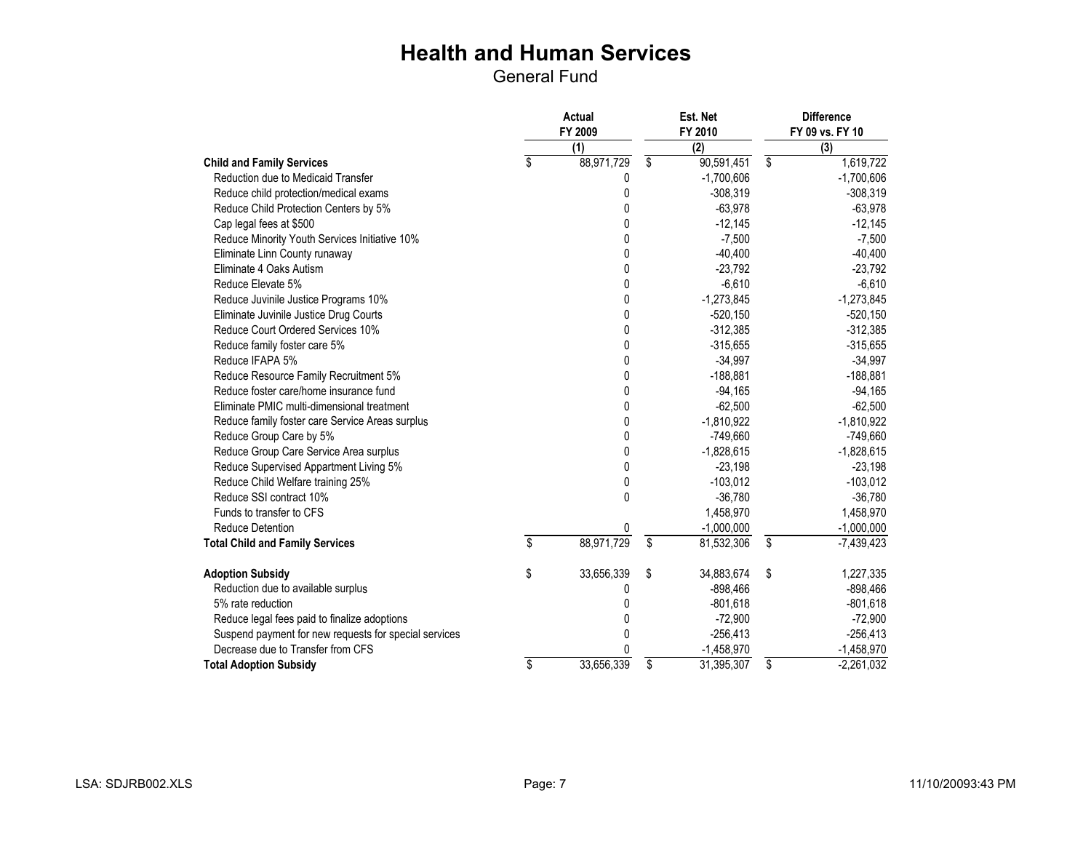|                                                       | <b>Actual</b><br>FY 2009 |                  | Est. Net<br>FY 2010 |                         | <b>Difference</b><br>FY 09 vs. FY 10 |
|-------------------------------------------------------|--------------------------|------------------|---------------------|-------------------------|--------------------------------------|
|                                                       |                          | $\overline{(1)}$ | $\overline{(2)}$    |                         | (3)                                  |
| <b>Child and Family Services</b>                      | \$                       | 88,971,729       | \$<br>90,591,451    | \$                      | 1,619,722                            |
| Reduction due to Medicaid Transfer                    |                          | 0                | $-1,700,606$        |                         | $-1,700,606$                         |
| Reduce child protection/medical exams                 |                          | 0                | $-308,319$          |                         | $-308,319$                           |
| Reduce Child Protection Centers by 5%                 |                          | 0                | $-63,978$           |                         | $-63,978$                            |
| Cap legal fees at \$500                               |                          | 0                | $-12,145$           |                         | $-12,145$                            |
| Reduce Minority Youth Services Initiative 10%         |                          | 0                | $-7,500$            |                         | $-7,500$                             |
| Eliminate Linn County runaway                         |                          | 0                | $-40,400$           |                         | $-40,400$                            |
| Eliminate 4 Oaks Autism                               |                          | 0                | $-23,792$           |                         | $-23,792$                            |
| Reduce Elevate 5%                                     |                          | 0                | $-6,610$            |                         | $-6,610$                             |
| Reduce Juvinile Justice Programs 10%                  |                          | 0                | $-1,273,845$        |                         | $-1,273,845$                         |
| Eliminate Juvinile Justice Drug Courts                |                          | 0                | $-520,150$          |                         | $-520,150$                           |
| Reduce Court Ordered Services 10%                     |                          | 0                | $-312,385$          |                         | $-312,385$                           |
| Reduce family foster care 5%                          |                          | 0                | $-315,655$          |                         | $-315,655$                           |
| Reduce IFAPA 5%                                       |                          | 0                | $-34,997$           |                         | $-34,997$                            |
| Reduce Resource Family Recruitment 5%                 |                          | 0                | $-188,881$          |                         | $-188,881$                           |
| Reduce foster care/home insurance fund                |                          | 0                | $-94,165$           |                         | $-94,165$                            |
| Eliminate PMIC multi-dimensional treatment            |                          | 0                | $-62,500$           |                         | $-62,500$                            |
| Reduce family foster care Service Areas surplus       |                          | 0                | $-1,810,922$        |                         | $-1,810,922$                         |
| Reduce Group Care by 5%                               |                          | 0                | $-749,660$          |                         | $-749,660$                           |
| Reduce Group Care Service Area surplus                |                          | 0                | $-1,828,615$        |                         | $-1,828,615$                         |
| Reduce Supervised Appartment Living 5%                |                          | 0                | $-23,198$           |                         | $-23,198$                            |
| Reduce Child Welfare training 25%                     |                          | 0                | $-103,012$          |                         | $-103,012$                           |
| Reduce SSI contract 10%                               |                          | 0                | $-36.780$           |                         | $-36,780$                            |
| Funds to transfer to CFS                              |                          |                  | 1,458,970           |                         | 1,458,970                            |
| <b>Reduce Detention</b>                               |                          | 0                | $-1,000,000$        |                         | $-1,000,000$                         |
| <b>Total Child and Family Services</b>                | \$                       | 88,971,729       | \$<br>81,532,306    | $\overline{\mathbb{S}}$ | $-7,439,423$                         |
| <b>Adoption Subsidy</b>                               | \$                       | 33,656,339       | \$<br>34,883,674    | \$                      | 1,227,335                            |
| Reduction due to available surplus                    |                          | 0                | $-898,466$          |                         | $-898,466$                           |
| 5% rate reduction                                     |                          | 0                | $-801,618$          |                         | $-801,618$                           |
| Reduce legal fees paid to finalize adoptions          |                          | 0                | $-72,900$           |                         | $-72,900$                            |
| Suspend payment for new requests for special services |                          | 0                | $-256,413$          |                         | $-256,413$                           |
| Decrease due to Transfer from CFS                     |                          | N                | $-1,458,970$        |                         | $-1,458,970$                         |
| <b>Total Adoption Subsidy</b>                         | \$                       | 33,656,339       | \$<br>31,395,307    | \$                      | $-2,261,032$                         |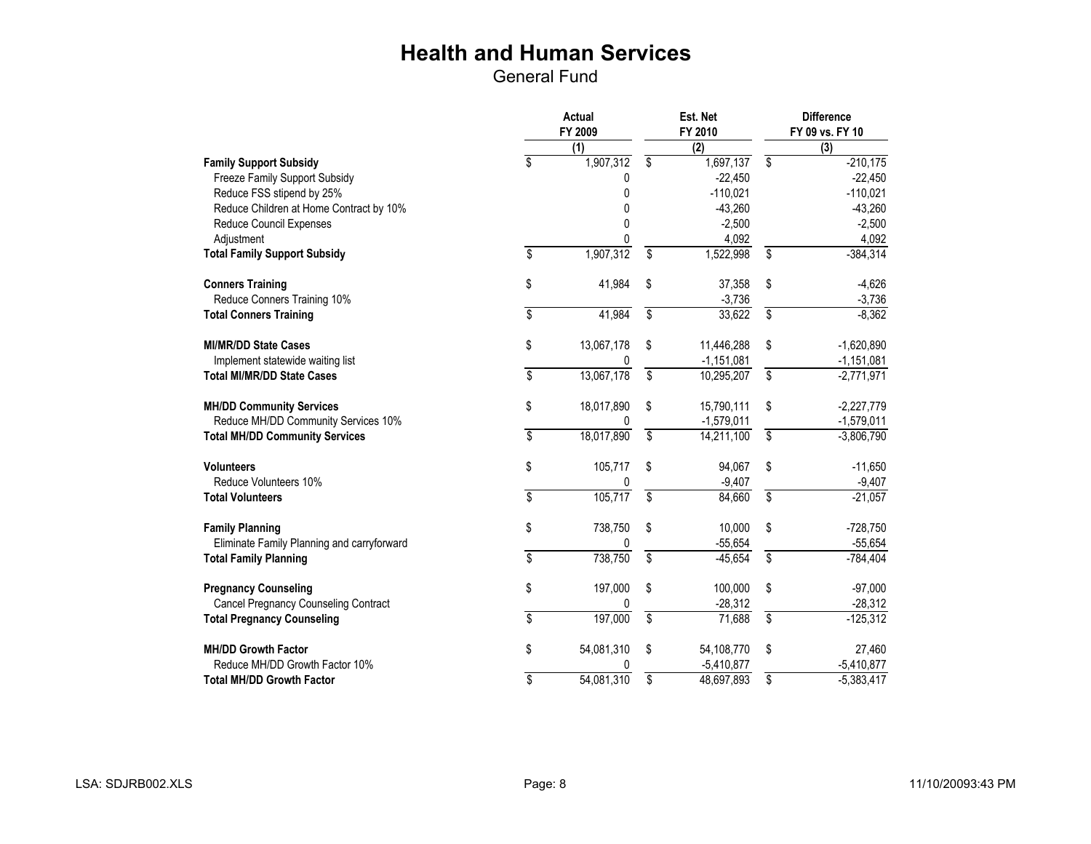|                                             |                         | Est. Net<br>FY 2010 |                          | <b>Difference</b><br>FY 09 vs. FY 10 |    |              |
|---------------------------------------------|-------------------------|---------------------|--------------------------|--------------------------------------|----|--------------|
|                                             |                         | (1)                 |                          | $\overline{(2)}$                     |    | (3)          |
| <b>Family Support Subsidy</b>               | \$                      | 1,907,312           | \$                       | 1,697,137                            | \$ | $-210,175$   |
| Freeze Family Support Subsidy               |                         | 0                   |                          | $-22,450$                            |    | $-22,450$    |
| Reduce FSS stipend by 25%                   |                         | 0                   |                          | $-110,021$                           |    | $-110,021$   |
| Reduce Children at Home Contract by 10%     |                         | 0                   |                          | $-43,260$                            |    | $-43,260$    |
| Reduce Council Expenses                     |                         | $\mathbf{0}$        |                          | $-2,500$                             |    | $-2,500$     |
| Adjustment                                  |                         | 0                   |                          | 4,092                                |    | 4,092        |
| <b>Total Family Support Subsidy</b>         | \$                      | 1,907,312           | \$                       | 1,522,998                            | \$ | $-384,314$   |
| <b>Conners Training</b>                     | \$                      | 41,984              | \$                       | 37,358                               | \$ | $-4,626$     |
| Reduce Conners Training 10%                 |                         |                     |                          | $-3,736$                             |    | $-3,736$     |
| <b>Total Conners Training</b>               | \$                      | 41,984              | \$                       | 33,622                               | \$ | $-8,362$     |
| <b>MI/MR/DD State Cases</b>                 | \$                      | 13,067,178          | \$                       | 11,446,288                           | \$ | $-1,620,890$ |
| Implement statewide waiting list            |                         | 0                   |                          | $-1,151,081$                         |    | $-1,151,081$ |
| <b>Total MI/MR/DD State Cases</b>           | \$                      | 13,067,178          | $\overline{\mathcal{S}}$ | 10,295,207                           | \$ | $-2,771,971$ |
| <b>MH/DD Community Services</b>             | \$                      | 18,017,890          | \$                       | 15,790,111                           | \$ | $-2,227,779$ |
| Reduce MH/DD Community Services 10%         |                         |                     |                          | $-1,579,011$                         |    | $-1,579,011$ |
| <b>Total MH/DD Community Services</b>       | \$                      | 18,017,890          | \$                       | 14,211,100                           | \$ | $-3,806,790$ |
| <b>Volunteers</b>                           | \$                      | 105,717             | \$                       | 94,067                               | \$ | $-11,650$    |
| Reduce Volunteers 10%                       |                         | 0                   |                          | $-9,407$                             |    | $-9,407$     |
| <b>Total Volunteers</b>                     | \$                      | 105,717             | \$                       | 84,660                               | \$ | $-21,057$    |
| <b>Family Planning</b>                      | \$                      | 738,750             | \$                       | 10,000                               | \$ | $-728,750$   |
| Eliminate Family Planning and carryforward  |                         | 0                   |                          | $-55,654$                            |    | $-55,654$    |
| <b>Total Family Planning</b>                | $\overline{\mathbf{S}}$ | 738,750             | \$                       | $-45,654$                            | \$ | $-784,404$   |
| <b>Pregnancy Counseling</b>                 | \$                      | 197,000             | \$                       | 100,000                              | \$ | $-97,000$    |
| <b>Cancel Pregnancy Counseling Contract</b> |                         | 0                   |                          | $-28,312$                            |    | $-28,312$    |
| <b>Total Pregnancy Counseling</b>           | \$                      | 197,000             | $\overline{\$}$          | 71,688                               | \$ | $-125,312$   |
| <b>MH/DD Growth Factor</b>                  | \$                      | 54,081,310          | \$                       | 54,108,770                           | \$ | 27,460       |
| Reduce MH/DD Growth Factor 10%              |                         | 0                   |                          | $-5,410,877$                         |    | $-5,410,877$ |
| <b>Total MH/DD Growth Factor</b>            | \$                      | 54,081,310          | \$                       | 48,697,893                           | \$ | $-5,383,417$ |